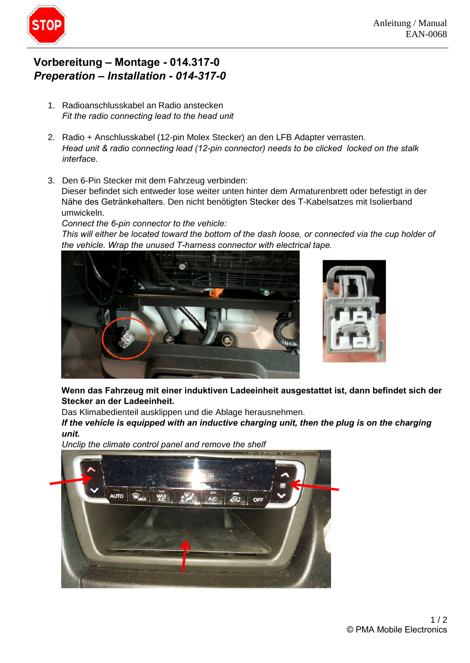

## Vorbereitung – Montage - 014.317-0 Preperation - Installation - 014-317-0

- 1. Radioanschlusskabel an Radio anstecken Fit the radio connecting lead to the head unit  $\mathcal{L}$  radio connecting lead (12-pin connecting locked on the state donestic state dones to be clicked on the state  $\mathcal{L}$
- 2. Radio + Anschlusskabel (12-pin Molex Stecker) an den LFB Adapter verrasten. Head unit & radio connecting lead (12-pin connector) needs to be clicked locked on the stalk interface.
- 3. Den 6-Pin Stecker mit dem Fahrzeug verbinden: Dieser befindet sich entweder lose weiter unten hinter dem Armaturenbrett oder befestigt in der Den 6-Pin Stecker mit dem Fahrzeug verbinden:<br>Dieser befindet sich entweder lose weiter unten hinter dem Armaturenbrett oder befestigt in der<br>Nähe des Getränkehalters. Den nicht benötigten Stecker des T-Kabelsatzes mit Iso umwickeln. This will either be located toward the bottom of the dash loose, or connected via the cup holder of the cup holder of the cup holder of the cup holder of the cup holder of the cup holder of the cup holder of the cup holder

Connect the 6-pin connector to the vehicle: This will either be located toward the bottom of the dash loose, or connected via the cup holder of the vehicle. Wrap the unused T-harness connector with electrical tape.





Wenn das Fahrzeug mit einer induktiven Ladeeinheit ausgestattet ist, dann befindet sich der **Stecker an der Ladeeinheit.** 

Das Klimabedienteil ausklippen und die Ablage herausnehmen. **unit.** 

If the vehicle is equipped with an inductive charging unit, then the plug is on the charging unit.

Unclip the climate control panel and remove the shelf